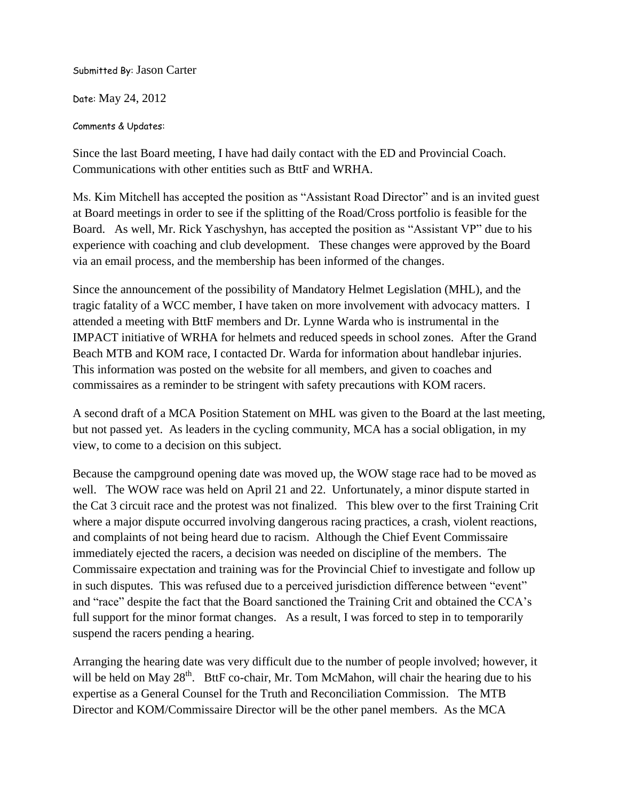Submitted By: Jason Carter

Date: May 24, 2012

Comments & Updates:

Since the last Board meeting, I have had daily contact with the ED and Provincial Coach. Communications with other entities such as BttF and WRHA.

Ms. Kim Mitchell has accepted the position as "Assistant Road Director" and is an invited guest at Board meetings in order to see if the splitting of the Road/Cross portfolio is feasible for the Board. As well, Mr. Rick Yaschyshyn, has accepted the position as "Assistant VP" due to his experience with coaching and club development. These changes were approved by the Board via an email process, and the membership has been informed of the changes.

Since the announcement of the possibility of Mandatory Helmet Legislation (MHL), and the tragic fatality of a WCC member, I have taken on more involvement with advocacy matters. I attended a meeting with BttF members and Dr. Lynne Warda who is instrumental in the IMPACT initiative of WRHA for helmets and reduced speeds in school zones. After the Grand Beach MTB and KOM race, I contacted Dr. Warda for information about handlebar injuries. This information was posted on the website for all members, and given to coaches and commissaires as a reminder to be stringent with safety precautions with KOM racers.

A second draft of a MCA Position Statement on MHL was given to the Board at the last meeting, but not passed yet. As leaders in the cycling community, MCA has a social obligation, in my view, to come to a decision on this subject.

Because the campground opening date was moved up, the WOW stage race had to be moved as well. The WOW race was held on April 21 and 22. Unfortunately, a minor dispute started in the Cat 3 circuit race and the protest was not finalized. This blew over to the first Training Crit where a major dispute occurred involving dangerous racing practices, a crash, violent reactions, and complaints of not being heard due to racism. Although the Chief Event Commissaire immediately ejected the racers, a decision was needed on discipline of the members. The Commissaire expectation and training was for the Provincial Chief to investigate and follow up in such disputes. This was refused due to a perceived jurisdiction difference between "event" and "race" despite the fact that the Board sanctioned the Training Crit and obtained the CCA's full support for the minor format changes. As a result, I was forced to step in to temporarily suspend the racers pending a hearing.

Arranging the hearing date was very difficult due to the number of people involved; however, it will be held on May  $28<sup>th</sup>$ . BttF co-chair, Mr. Tom McMahon, will chair the hearing due to his expertise as a General Counsel for the Truth and Reconciliation Commission. The MTB Director and KOM/Commissaire Director will be the other panel members. As the MCA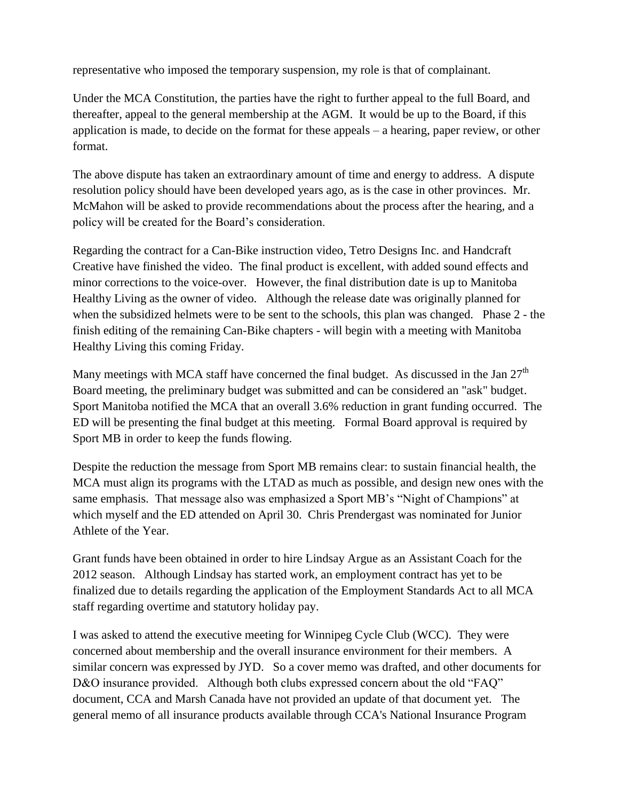representative who imposed the temporary suspension, my role is that of complainant.

Under the MCA Constitution, the parties have the right to further appeal to the full Board, and thereafter, appeal to the general membership at the AGM. It would be up to the Board, if this application is made, to decide on the format for these appeals – a hearing, paper review, or other format.

The above dispute has taken an extraordinary amount of time and energy to address. A dispute resolution policy should have been developed years ago, as is the case in other provinces. Mr. McMahon will be asked to provide recommendations about the process after the hearing, and a policy will be created for the Board's consideration.

Regarding the contract for a Can-Bike instruction video, Tetro Designs Inc. and Handcraft Creative have finished the video. The final product is excellent, with added sound effects and minor corrections to the voice-over. However, the final distribution date is up to Manitoba Healthy Living as the owner of video. Although the release date was originally planned for when the subsidized helmets were to be sent to the schools, this plan was changed. Phase 2 - the finish editing of the remaining Can-Bike chapters - will begin with a meeting with Manitoba Healthy Living this coming Friday.

Many meetings with MCA staff have concerned the final budget. As discussed in the Jan  $27<sup>th</sup>$ Board meeting, the preliminary budget was submitted and can be considered an "ask" budget. Sport Manitoba notified the MCA that an overall 3.6% reduction in grant funding occurred. The ED will be presenting the final budget at this meeting. Formal Board approval is required by Sport MB in order to keep the funds flowing.

Despite the reduction the message from Sport MB remains clear: to sustain financial health, the MCA must align its programs with the LTAD as much as possible, and design new ones with the same emphasis. That message also was emphasized a Sport MB's "Night of Champions" at which myself and the ED attended on April 30. Chris Prendergast was nominated for Junior Athlete of the Year.

Grant funds have been obtained in order to hire Lindsay Argue as an Assistant Coach for the 2012 season. Although Lindsay has started work, an employment contract has yet to be finalized due to details regarding the application of the Employment Standards Act to all MCA staff regarding overtime and statutory holiday pay.

I was asked to attend the executive meeting for Winnipeg Cycle Club (WCC). They were concerned about membership and the overall insurance environment for their members. A similar concern was expressed by JYD. So a cover memo was drafted, and other documents for D&O insurance provided. Although both clubs expressed concern about the old "FAQ" document, CCA and Marsh Canada have not provided an update of that document yet. The general memo of all insurance products available through CCA's National Insurance Program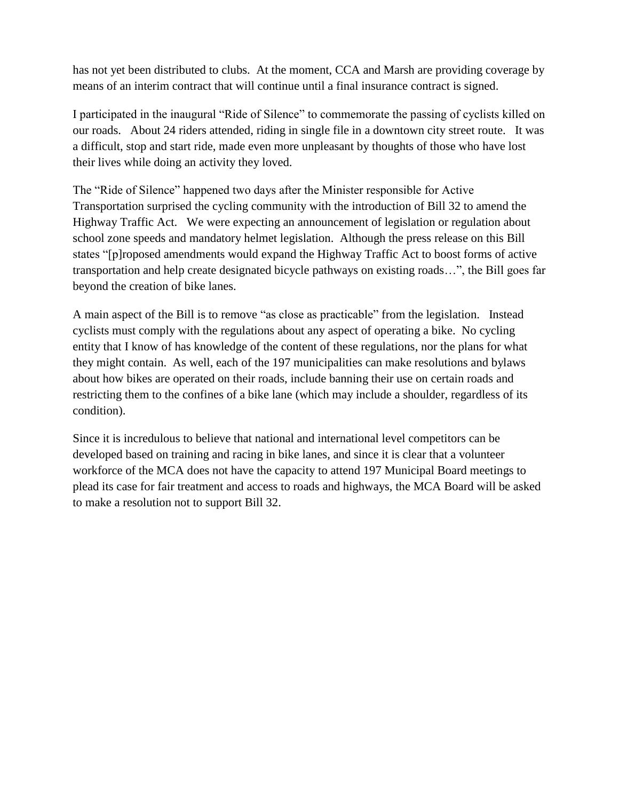has not yet been distributed to clubs. At the moment, CCA and Marsh are providing coverage by means of an interim contract that will continue until a final insurance contract is signed.

I participated in the inaugural "Ride of Silence" to commemorate the passing of cyclists killed on our roads. About 24 riders attended, riding in single file in a downtown city street route. It was a difficult, stop and start ride, made even more unpleasant by thoughts of those who have lost their lives while doing an activity they loved.

The "Ride of Silence" happened two days after the Minister responsible for Active Transportation surprised the cycling community with the introduction of Bill 32 to amend the Highway Traffic Act. We were expecting an announcement of legislation or regulation about school zone speeds and mandatory helmet legislation. Although the press release on this Bill states "[p]roposed amendments would expand the Highway Traffic Act to boost forms of active transportation and help create designated bicycle pathways on existing roads…", the Bill goes far beyond the creation of bike lanes.

A main aspect of the Bill is to remove "as close as practicable" from the legislation. Instead cyclists must comply with the regulations about any aspect of operating a bike. No cycling entity that I know of has knowledge of the content of these regulations, nor the plans for what they might contain. As well, each of the 197 municipalities can make resolutions and bylaws about how bikes are operated on their roads, include banning their use on certain roads and restricting them to the confines of a bike lane (which may include a shoulder, regardless of its condition).

Since it is incredulous to believe that national and international level competitors can be developed based on training and racing in bike lanes, and since it is clear that a volunteer workforce of the MCA does not have the capacity to attend 197 Municipal Board meetings to plead its case for fair treatment and access to roads and highways, the MCA Board will be asked to make a resolution not to support Bill 32.